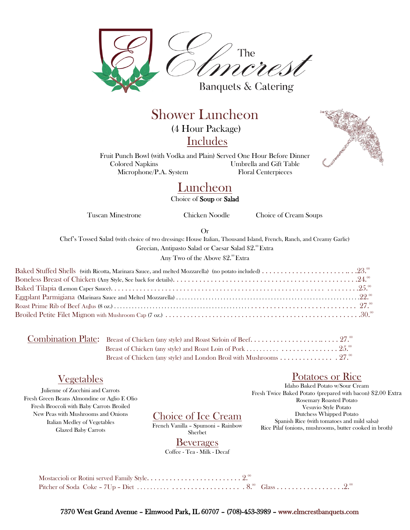

Shower Luncheon (4 Hour Package) Includes



Fruit Punch Bowl (with Vodka and Plain) Served One Hour Before Dinner Colored Napkins Umbrella and Gift Table Microphone/P.A. System Floral Centerpieces

# **Luncheon** Choice of Soup or Salad

Tuscan Minestrone Chicken Noodle Choice of Cream Soups

Or

Chef's Tossed Salad (with choice of two dressings: House Italian, Thousand Island, French, Ranch, and Creamy Garlic)

Grecian, Antipasto Salad or Caesar Salad \$2.ºº Extra

Any Two of the Above  $\$2^\mathsf{.00} \mathop{\textrm{Extra}}$ 

# Vegetables

Julienne of Zucchini and Carrots Fresh Green Beans Almondine or Aglio E Olio Fresh Broccoli with Baby Carrots Broiled New Peas with Mushrooms and Onions Italian Medley of Vegetables Glazed Baby Carrots

#### Choice of Ice Cream

French Vanilla – Spumoni – Rainbow Sherbet

#### Beverages

Coffee - Tea - Milk - Decaf

# Potatoes or Rice

Idaho Baked Potato w/Sour Cream Fresh Twice Baked Potato (prepared with bacon) \$2.00 Extra Rosemary Roasted Potato Vesuvio Style Potato Dutchess Whipped Potato Spanish Rice (with tomatoes and mild salsa) Rice Pilaf (onions, mushrooms, butter cooked in broth)

7370 West Grand Avenue – Elmwood Park, IL 60707 – (708)-453-3989 – www.elmcrestbanquets.com